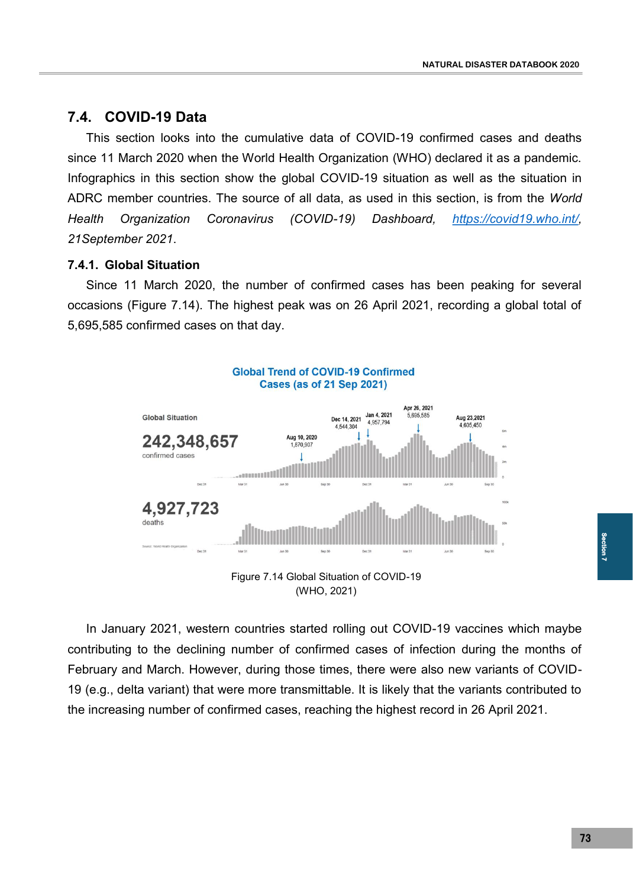## **7.4. COVID-19 Data**

This section looks into the cumulative data of COVID-19 confirmed cases and deaths since 11 March 2020 when the World Health Organization (WHO) declared it as a pandemic. Infographics in this section show the global COVID-19 situation as well as the situation in ADRC member countries. The source of all data, as used in this section, is from the *World Health Organization Coronavirus (COVID-19) Dashboard, https://covid19.who.int/, 21September 2021*.

## **7.4.1. Global Situation**

Since 11 March 2020, the number of confirmed cases has been peaking for several occasions (Figure 7.14). The highest peak was on 26 April 2021, recording a global total of 5,695,585 confirmed cases on that day.



In January 2021, western countries started rolling out COVID-19 vaccines which maybe contributing to the declining number of confirmed cases of infection during the months of February and March. However, during those times, there were also new variants of COVID-19 (e.g., delta variant) that were more transmittable. It is likely that the variants contributed to the increasing number of confirmed cases, reaching the highest record in 26 April 2021.